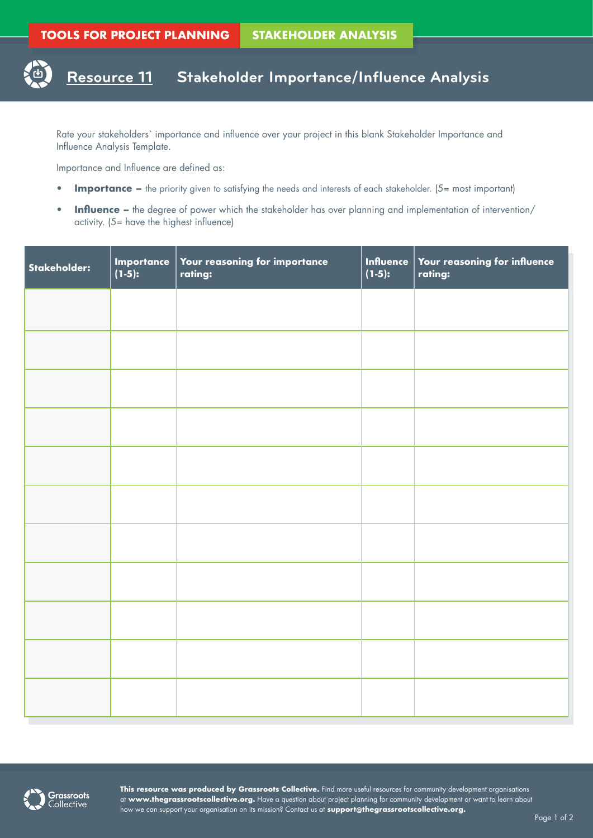## **Resource 11 Stakeholder Importance/Influence Analysis**

Rate your stakeholders` importance and influence over your project in this blank Stakeholder Importance and Influence Analysis Template.

Importance and Influence are defined as:

- **Importance** the priority given to satisfying the needs and interests of each stakeholder. (5= most important)
- **Influence –** the degree of power which the stakeholder has over planning and implementation of intervention/ activity. (5= have the highest influence)

| Stakeholder: | Importance<br>(1-5): | Your reasoning for importance<br>rating: | <b>Influence</b><br>$(1-5):$ | Your reasoning for influence<br>rating: |
|--------------|----------------------|------------------------------------------|------------------------------|-----------------------------------------|
|              |                      |                                          |                              |                                         |
|              |                      |                                          |                              |                                         |
|              |                      |                                          |                              |                                         |
|              |                      |                                          |                              |                                         |
|              |                      |                                          |                              |                                         |
|              |                      |                                          |                              |                                         |
|              |                      |                                          |                              |                                         |
|              |                      |                                          |                              |                                         |
|              |                      |                                          |                              |                                         |
|              |                      |                                          |                              |                                         |
|              |                      |                                          |                              |                                         |



**This resource was produced by Grassroots Collective.** Find more useful resources for community development organisations at **www.thegrassrootscollective.org.** Have a question about project planning for community development or want to learn about how we can support your organisation on its mission? Contact us at **support@thegrassrootscollective.org.**